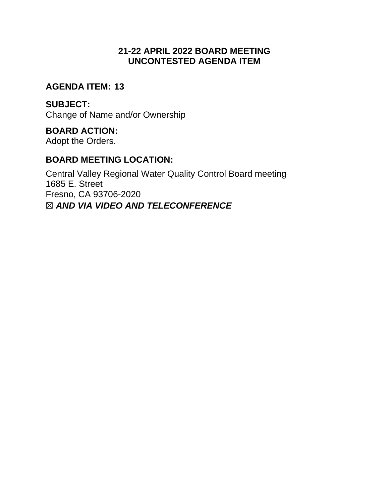# **21-22 APRIL 2022 BOARD MEETING UNCONTESTED AGENDA ITEM**

### **AGENDA ITEM: 13**

### **SUBJECT:**

Change of Name and/or Ownership

# **BOARD ACTION:**

Adopt the Orders.

# **BOARD MEETING LOCATION:**

Central Valley Regional Water Quality Control Board meeting 1685 E. Street Fresno, CA 93706-2020 ☒ *AND VIA VIDEO AND TELECONFERENCE*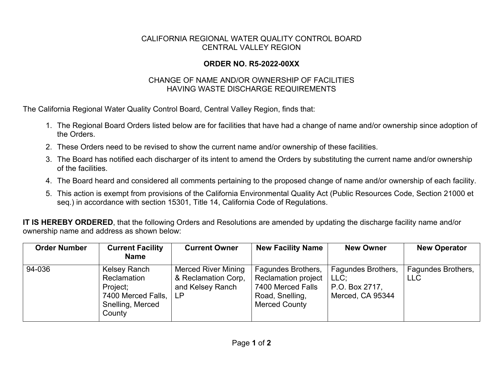#### CALIFORNIA REGIONAL WATER QUALITY CONTROL BOARD CENTRAL VALLEY REGION

#### **ORDER NO. R5-2022-00XX**

#### CHANGE OF NAME AND/OR OWNERSHIP OF FACILITIES HAVING WASTE DISCHARGE REQUIREMENTS

The California Regional Water Quality Control Board, Central Valley Region, finds that:

- 1. The Regional Board Orders listed below are for facilities that have had a change of name and/or ownership since adoption of the Orders.
- 2. These Orders need to be revised to show the current name and/or ownership of these facilities.
- 3. The Board has notified each discharger of its intent to amend the Orders by substituting the current name and/or ownership of the facilities.
- 4. The Board heard and considered all comments pertaining to the proposed change of name and/or ownership of each facility.
- 5. This action is exempt from provisions of the California Environmental Quality Act (Public Resources Code, Section 21000 et seq.) in accordance with section 15301, Title 14, California Code of Regulations.

**IT IS HEREBY ORDERED**, that the following Orders and Resolutions are amended by updating the discharge facility name and/or ownership name and address as shown below:

| <b>Order Number</b> | <b>Current Facility</b><br><b>Name</b>                                                      | <b>Current Owner</b>                                                        | <b>New Facility Name</b>                                                                                  | <b>New Owner</b>                                                 | <b>New Operator</b>              |
|---------------------|---------------------------------------------------------------------------------------------|-----------------------------------------------------------------------------|-----------------------------------------------------------------------------------------------------------|------------------------------------------------------------------|----------------------------------|
| 94-036              | Kelsey Ranch<br>Reclamation<br>Project;<br>7400 Merced Falls,<br>Snelling, Merced<br>County | <b>Merced River Mining</b><br>& Reclamation Corp,<br>and Kelsey Ranch<br>LP | Fagundes Brothers,<br>Reclamation project<br>7400 Merced Falls<br>Road, Snelling,<br><b>Merced County</b> | Fagundes Brothers,<br>LLC:<br>P.O. Box 2717,<br>Merced, CA 95344 | Fagundes Brothers,<br><b>LLC</b> |